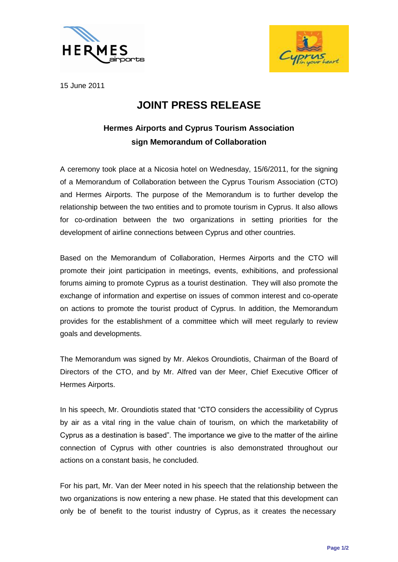



15 June 2011

## **JOINT PRESS RELEASE**

## **Hermes Airports and Cyprus Tourism Association sign Memorandum of Collaboration**

A ceremony took place at a Nicosia hotel on Wednesday, 15/6/2011, for the signing of a Memorandum of Collaboration between the Cyprus Tourism Association (CTO) and Hermes Airports. The purpose of the Memorandum is to further develop the relationship between the two entities and to promote tourism in Cyprus. It also allows for co-ordination between the two organizations in setting priorities for the development of airline connections between Cyprus and other countries.

Based on the Memorandum of Collaboration, Hermes Airports and the CTO will promote their joint participation in meetings, events, exhibitions, and professional forums aiming to promote Cyprus as a tourist destination. They will also promote the exchange of information and expertise on issues of common interest and co-operate on actions to promote the tourist product of Cyprus. In addition, the Memorandum provides for the establishment of a committee which will meet regularly to review goals and developments.

The Memorandum was signed by Mr. Alekos Oroundiotis, Chairman of the Board of Directors of the CTO, and by Mr. Alfred van der Meer, Chief Executive Officer of Hermes Airports.

In his speech, Mr. Oroundiotis stated that "CTO considers the accessibility of Cyprus by air as a vital ring in the value chain of tourism, on which the marketability of Cyprus as a destination is based". The importance we give to the matter of the airline connection of Cyprus with other countries is also demonstrated throughout our actions on a constant basis, he concluded.

For his part, Mr. Van der Meer noted in his speech that the relationship between the two organizations is now entering a new phase. He stated that this development can only be of benefit to the tourist industry of Cyprus, as it creates the necessary